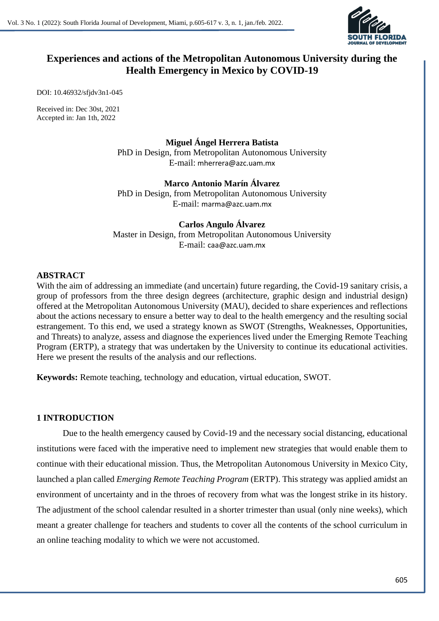

# **Experiences and actions of the Metropolitan Autonomous University during the Health Emergency in Mexico by COVID-19**

DOI: 10.46932/sfjdv3n1-045

Received in: Dec 30st, 2021 Accepted in: Jan 1th, 2022

> **Miguel Ángel Herrera Batista** PhD in Design, from Metropolitan Autonomous University E-mail: mherrera@azc.uam.mx

> **Marco Antonio Marín Álvarez** PhD in Design, from Metropolitan Autonomous University E-mail: marma@azc.uam.mx

**Carlos Angulo Álvarez** Master in Design, from Metropolitan Autonomous University E-mail: caa@azc.uam.mx

# **ABSTRACT**

With the aim of addressing an immediate (and uncertain) future regarding, the Covid-19 sanitary crisis, a group of professors from the three design degrees (architecture, graphic design and industrial design) offered at the Metropolitan Autonomous University (MAU), decided to share experiences and reflections about the actions necessary to ensure a better way to deal to the health emergency and the resulting social estrangement. To this end, we used a strategy known as SWOT (Strengths, Weaknesses, Opportunities, and Threats) to analyze, assess and diagnose the experiences lived under the Emerging Remote Teaching Program (ERTP), a strategy that was undertaken by the University to continue its educational activities. Here we present the results of the analysis and our reflections.

**Keywords:** Remote teaching, technology and education, virtual education, SWOT.

# **1 INTRODUCTION**

Due to the health emergency caused by Covid-19 and the necessary social distancing, educational institutions were faced with the imperative need to implement new strategies that would enable them to continue with their educational mission. Thus, the Metropolitan Autonomous University in Mexico City, launched a plan called *Emerging Remote Teaching Program* (ERTP). This strategy was applied amidst an environment of uncertainty and in the throes of recovery from what was the longest strike in its history. The adjustment of the school calendar resulted in a shorter trimester than usual (only nine weeks), which meant a greater challenge for teachers and students to cover all the contents of the school curriculum in an online teaching modality to which we were not accustomed.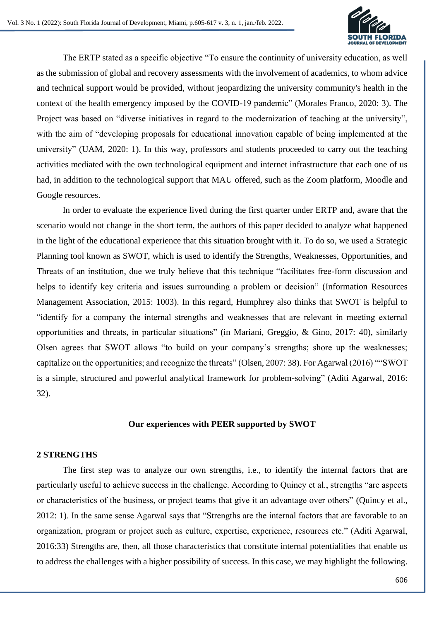

The ERTP stated as a specific objective "To ensure the continuity of university education, as well as the submission of global and recovery assessments with the involvement of academics, to whom advice and technical support would be provided, without jeopardizing the university community's health in the context of the health emergency imposed by the COVID-19 pandemic" (Morales Franco, 2020: 3). The Project was based on "diverse initiatives in regard to the modernization of teaching at the university", with the aim of "developing proposals for educational innovation capable of being implemented at the university" (UAM, 2020: 1). In this way, professors and students proceeded to carry out the teaching activities mediated with the own technological equipment and internet infrastructure that each one of us had, in addition to the technological support that MAU offered, such as the Zoom platform, Moodle and Google resources.

In order to evaluate the experience lived during the first quarter under ERTP and, aware that the scenario would not change in the short term, the authors of this paper decided to analyze what happened in the light of the educational experience that this situation brought with it. To do so, we used a Strategic Planning tool known as SWOT, which is used to identify the Strengths, Weaknesses, Opportunities, and Threats of an institution, due we truly believe that this technique "facilitates free-form discussion and helps to identify key criteria and issues surrounding a problem or decision" (Information Resources Management Association, 2015: 1003). In this regard, Humphrey also thinks that SWOT is helpful to "identify for a company the internal strengths and weaknesses that are relevant in meeting external opportunities and threats, in particular situations" (in Mariani, Greggio, & Gino, 2017: 40), similarly Olsen agrees that SWOT allows "to build on your company's strengths; shore up the weaknesses; capitalize on the opportunities; and recognize the threats" (Olsen, 2007: 38). For Agarwal (2016) ""SWOT is a simple, structured and powerful analytical framework for problem-solving" (Aditi Agarwal, 2016: 32).

#### **Our experiences with PEER supported by SWOT**

#### **2 STRENGTHS**

The first step was to analyze our own strengths, i.e., to identify the internal factors that are particularly useful to achieve success in the challenge. According to Quincy et al., strengths "are aspects or characteristics of the business, or project teams that give it an advantage over others" (Quincy et al., 2012: 1). In the same sense Agarwal says that "Strengths are the internal factors that are favorable to an organization, program or project such as culture, expertise, experience, resources etc." (Aditi Agarwal, 2016:33) Strengths are, then, all those characteristics that constitute internal potentialities that enable us to address the challenges with a higher possibility of success. In this case, we may highlight the following.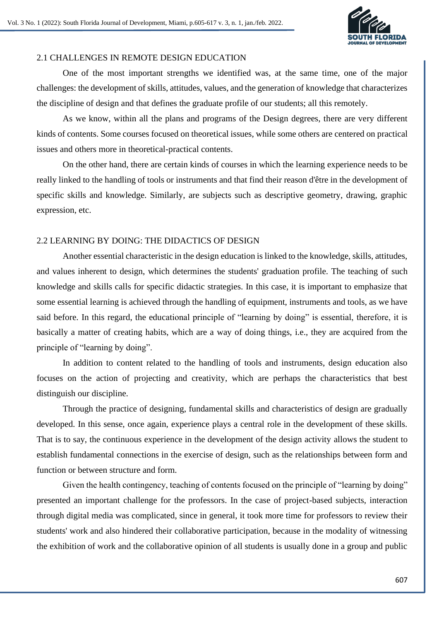

# 2.1 CHALLENGES IN REMOTE DESIGN EDUCATION

One of the most important strengths we identified was, at the same time, one of the major challenges: the development of skills, attitudes, values, and the generation of knowledge that characterizes the discipline of design and that defines the graduate profile of our students; all this remotely.

As we know, within all the plans and programs of the Design degrees, there are very different kinds of contents. Some courses focused on theoretical issues, while some others are centered on practical issues and others more in theoretical-practical contents.

On the other hand, there are certain kinds of courses in which the learning experience needs to be really linked to the handling of tools or instruments and that find their reason d'être in the development of specific skills and knowledge. Similarly, are subjects such as descriptive geometry, drawing, graphic expression, etc.

# 2.2 LEARNING BY DOING: THE DIDACTICS OF DESIGN

Another essential characteristic in the design education is linked to the knowledge, skills, attitudes, and values inherent to design, which determines the students' graduation profile. The teaching of such knowledge and skills calls for specific didactic strategies. In this case, it is important to emphasize that some essential learning is achieved through the handling of equipment, instruments and tools, as we have said before. In this regard, the educational principle of "learning by doing" is essential, therefore, it is basically a matter of creating habits, which are a way of doing things, i.e., they are acquired from the principle of "learning by doing".

In addition to content related to the handling of tools and instruments, design education also focuses on the action of projecting and creativity, which are perhaps the characteristics that best distinguish our discipline.

Through the practice of designing, fundamental skills and characteristics of design are gradually developed. In this sense, once again, experience plays a central role in the development of these skills. That is to say, the continuous experience in the development of the design activity allows the student to establish fundamental connections in the exercise of design, such as the relationships between form and function or between structure and form.

Given the health contingency, teaching of contents focused on the principle of "learning by doing" presented an important challenge for the professors. In the case of project-based subjects, interaction through digital media was complicated, since in general, it took more time for professors to review their students' work and also hindered their collaborative participation, because in the modality of witnessing the exhibition of work and the collaborative opinion of all students is usually done in a group and public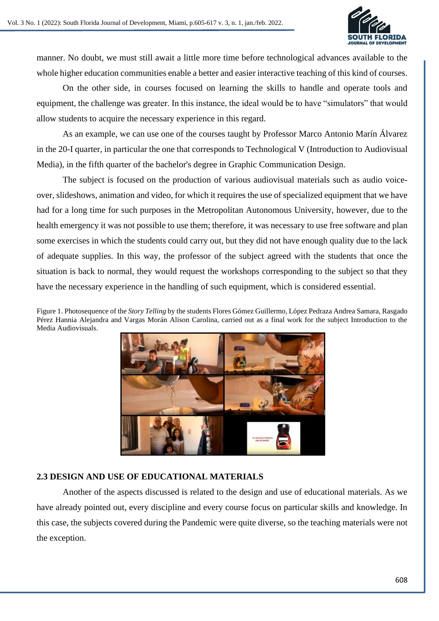

manner. No doubt, we must still await a little more time before technological advances available to the whole higher education communities enable a better and easier interactive teaching of this kind of courses.

On the other side, in courses focused on learning the skills to handle and operate tools and equipment, the challenge was greater. In this instance, the ideal would be to have "simulators" that would allow students to acquire the necessary experience in this regard.

As an example, we can use one of the courses taught by Professor Marco Antonio Marín Álvarez in the 20-I quarter, in particular the one that corresponds to Technological V (Introduction to Audiovisual Media), in the fifth quarter of the bachelor's degree in Graphic Communication Design.

The subject is focused on the production of various audiovisual materials such as audio voiceover, slideshows, animation and video, for which it requires the use of specialized equipment that we have had for a long time for such purposes in the Metropolitan Autonomous University, however, due to the health emergency it was not possible to use them; therefore, it was necessary to use free software and plan some exercises in which the students could carry out, but they did not have enough quality due to the lack of adequate supplies. In this way, the professor of the subject agreed with the students that once the situation is back to normal, they would request the workshops corresponding to the subject so that they have the necessary experience in the handling of such equipment, which is considered essential.

Figure 1. Photosequence of the *Story Telling* by the students Flores Gómez Guillermo, López Pedraza Andrea Samara, Rasgado Pérez Hannia Alejandra and Vargas Morán Alison Carolina, carried out as a final work for the subject Introduction to the Media Audiovisuals.



# **2.3 DESIGN AND USE OF EDUCATIONAL MATERIALS**

Another of the aspects discussed is related to the design and use of educational materials. As we have already pointed out, every discipline and every course focus on particular skills and knowledge. In this case, the subjects covered during the Pandemic were quite diverse, so the teaching materials were not the exception.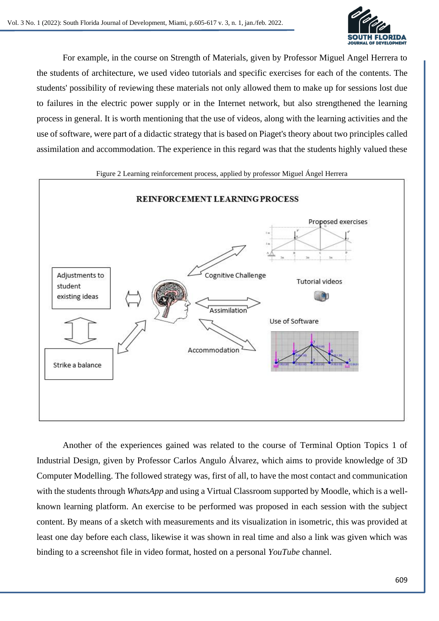

For example, in the course on Strength of Materials, given by Professor Miguel Angel Herrera to the students of architecture, we used video tutorials and specific exercises for each of the contents. The students' possibility of reviewing these materials not only allowed them to make up for sessions lost due to failures in the electric power supply or in the Internet network, but also strengthened the learning process in general. It is worth mentioning that the use of videos, along with the learning activities and the use of software, were part of a didactic strategy that is based on Piaget's theory about two principles called assimilation and accommodation. The experience in this regard was that the students highly valued these



Another of the experiences gained was related to the course of Terminal Option Topics 1 of Industrial Design, given by Professor Carlos Angulo Álvarez, which aims to provide knowledge of 3D Computer Modelling. The followed strategy was, first of all, to have the most contact and communication with the students through *WhatsApp* and using a Virtual Classroom supported by Moodle, which is a wellknown learning platform. An exercise to be performed was proposed in each session with the subject content. By means of a sketch with measurements and its visualization in isometric, this was provided at least one day before each class, likewise it was shown in real time and also a link was given which was binding to a screenshot file in video format, hosted on a personal *YouTube* channel.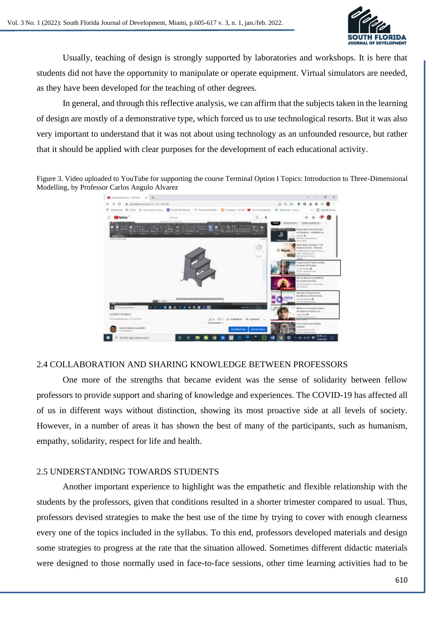

Usually, teaching of design is strongly supported by laboratories and workshops. It is here that students did not have the opportunity to manipulate or operate equipment. Virtual simulators are needed, as they have been developed for the teaching of other degrees.

In general, and through this reflective analysis, we can affirm that the subjects taken in the learning of design are mostly of a demonstrative type, which forced us to use technological resorts. But it was also very important to understand that it was not about using technology as an unfounded resource, but rather that it should be applied with clear purposes for the development of each educational activity.

Figure 3. Video uploaded to YouTube for supporting the course Terminal Option I Topics: Introduction to Three-Dimensional Modelling, by Professor Carlos Angulo Alvarez



# 2.4 COLLABORATION AND SHARING KNOWLEDGE BETWEEN PROFESSORS

One more of the strengths that became evident was the sense of solidarity between fellow professors to provide support and sharing of knowledge and experiences. The COVID-19 has affected all of us in different ways without distinction, showing its most proactive side at all levels of society. However, in a number of areas it has shown the best of many of the participants, such as humanism, empathy, solidarity, respect for life and health.

# 2.5 UNDERSTANDING TOWARDS STUDENTS

Another important experience to highlight was the empathetic and flexible relationship with the students by the professors, given that conditions resulted in a shorter trimester compared to usual. Thus, professors devised strategies to make the best use of the time by trying to cover with enough clearness every one of the topics included in the syllabus. To this end, professors developed materials and design some strategies to progress at the rate that the situation allowed. Sometimes different didactic materials were designed to those normally used in face-to-face sessions, other time learning activities had to be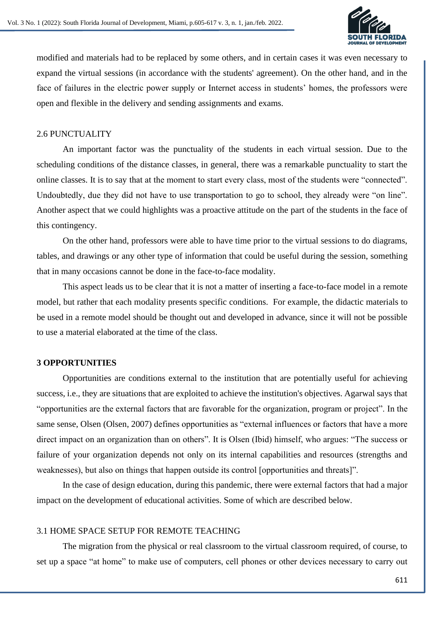

modified and materials had to be replaced by some others, and in certain cases it was even necessary to expand the virtual sessions (in accordance with the students' agreement). On the other hand, and in the face of failures in the electric power supply or Internet access in students' homes, the professors were open and flexible in the delivery and sending assignments and exams.

# 2.6 PUNCTUALITY

An important factor was the punctuality of the students in each virtual session. Due to the scheduling conditions of the distance classes, in general, there was a remarkable punctuality to start the online classes. It is to say that at the moment to start every class, most of the students were "connected". Undoubtedly, due they did not have to use transportation to go to school, they already were "on line". Another aspect that we could highlights was a proactive attitude on the part of the students in the face of this contingency.

On the other hand, professors were able to have time prior to the virtual sessions to do diagrams, tables, and drawings or any other type of information that could be useful during the session, something that in many occasions cannot be done in the face-to-face modality.

This aspect leads us to be clear that it is not a matter of inserting a face-to-face model in a remote model, but rather that each modality presents specific conditions. For example, the didactic materials to be used in a remote model should be thought out and developed in advance, since it will not be possible to use a material elaborated at the time of the class.

# **3 OPPORTUNITIES**

Opportunities are conditions external to the institution that are potentially useful for achieving success, i.e., they are situations that are exploited to achieve the institution's objectives. Agarwal says that "opportunities are the external factors that are favorable for the organization, program or project". In the same sense, Olsen (Olsen, 2007) defines opportunities as "external influences or factors that have a more direct impact on an organization than on others". It is Olsen (Ibid) himself, who argues: "The success or failure of your organization depends not only on its internal capabilities and resources (strengths and weaknesses), but also on things that happen outside its control [opportunities and threats]".

In the case of design education, during this pandemic, there were external factors that had a major impact on the development of educational activities. Some of which are described below.

# 3.1 HOME SPACE SETUP FOR REMOTE TEACHING

The migration from the physical or real classroom to the virtual classroom required, of course, to set up a space "at home" to make use of computers, cell phones or other devices necessary to carry out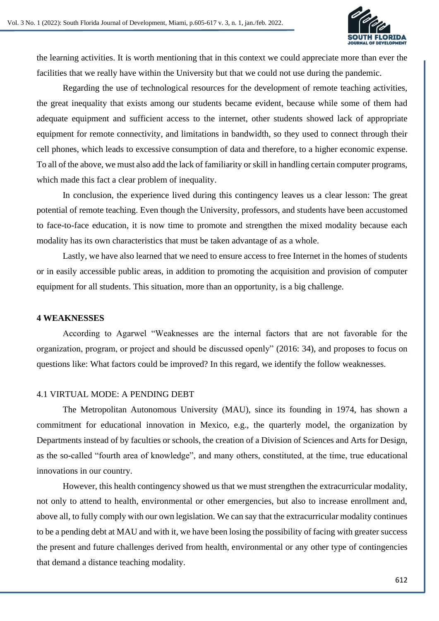

the learning activities. It is worth mentioning that in this context we could appreciate more than ever the facilities that we really have within the University but that we could not use during the pandemic.

Regarding the use of technological resources for the development of remote teaching activities, the great inequality that exists among our students became evident, because while some of them had adequate equipment and sufficient access to the internet, other students showed lack of appropriate equipment for remote connectivity, and limitations in bandwidth, so they used to connect through their cell phones, which leads to excessive consumption of data and therefore, to a higher economic expense. To all of the above, we must also add the lack of familiarity or skill in handling certain computer programs, which made this fact a clear problem of inequality.

In conclusion, the experience lived during this contingency leaves us a clear lesson: The great potential of remote teaching. Even though the University, professors, and students have been accustomed to face-to-face education, it is now time to promote and strengthen the mixed modality because each modality has its own characteristics that must be taken advantage of as a whole.

Lastly, we have also learned that we need to ensure access to free Internet in the homes of students or in easily accessible public areas, in addition to promoting the acquisition and provision of computer equipment for all students. This situation, more than an opportunity, is a big challenge.

# **4 WEAKNESSES**

According to Agarwel "Weaknesses are the internal factors that are not favorable for the organization, program, or project and should be discussed openly" (2016: 34), and proposes to focus on questions like: What factors could be improved? In this regard, we identify the follow weaknesses.

# 4.1 VIRTUAL MODE: A PENDING DEBT

The Metropolitan Autonomous University (MAU), since its founding in 1974, has shown a commitment for educational innovation in Mexico, e.g., the quarterly model, the organization by Departments instead of by faculties or schools, the creation of a Division of Sciences and Arts for Design, as the so-called "fourth area of knowledge", and many others, constituted, at the time, true educational innovations in our country.

However, this health contingency showed us that we must strengthen the extracurricular modality, not only to attend to health, environmental or other emergencies, but also to increase enrollment and, above all, to fully comply with our own legislation. We can say that the extracurricular modality continues to be a pending debt at MAU and with it, we have been losing the possibility of facing with greater success the present and future challenges derived from health, environmental or any other type of contingencies that demand a distance teaching modality.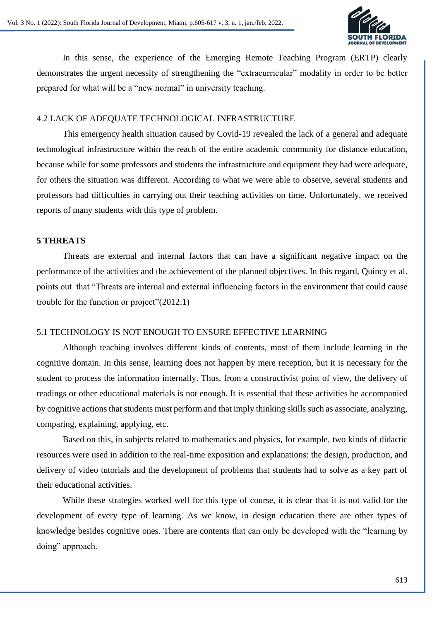

In this sense, the experience of the Emerging Remote Teaching Program (ERTP) clearly demonstrates the urgent necessity of strengthening the "extracurricular" modality in order to be better prepared for what will be a "new normal" in university teaching.

# 4.2 LACK OF ADEQUATE TECHNOLOGICAL INFRASTRUCTURE

This emergency health situation caused by Covid-19 revealed the lack of a general and adequate technological infrastructure within the reach of the entire academic community for distance education, because while for some professors and students the infrastructure and equipment they had were adequate, for others the situation was different. According to what we were able to observe, several students and professors had difficulties in carrying out their teaching activities on time. Unfortunately, we received reports of many students with this type of problem.

# **5 THREATS**

Threats are external and internal factors that can have a significant negative impact on the performance of the activities and the achievement of the planned objectives. In this regard, Quincy et al. points out that "Threats are internal and external influencing factors in the environment that could cause trouble for the function or project"(2012:1)

# 5.1 TECHNOLOGY IS NOT ENOUGH TO ENSURE EFFECTIVE LEARNING

Although teaching involves different kinds of contents, most of them include learning in the cognitive domain. In this sense, learning does not happen by mere reception, but it is necessary for the student to process the information internally. Thus, from a constructivist point of view, the delivery of readings or other educational materials is not enough. It is essential that these activities be accompanied by cognitive actions that students must perform and that imply thinking skills such as associate, analyzing, comparing, explaining, applying, etc.

Based on this, in subjects related to mathematics and physics, for example, two kinds of didactic resources were used in addition to the real-time exposition and explanations: the design, production, and delivery of video tutorials and the development of problems that students had to solve as a key part of their educational activities.

While these strategies worked well for this type of course, it is clear that it is not valid for the development of every type of learning. As we know, in design education there are other types of knowledge besides cognitive ones. There are contents that can only be developed with the "learning by doing" approach.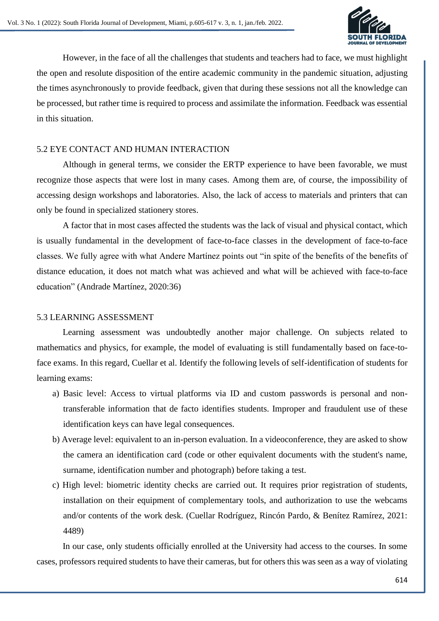

However, in the face of all the challenges that students and teachers had to face, we must highlight the open and resolute disposition of the entire academic community in the pandemic situation, adjusting the times asynchronously to provide feedback, given that during these sessions not all the knowledge can be processed, but rather time is required to process and assimilate the information. Feedback was essential in this situation.

# 5.2 EYE CONTACT AND HUMAN INTERACTION

Although in general terms, we consider the ERTP experience to have been favorable, we must recognize those aspects that were lost in many cases. Among them are, of course, the impossibility of accessing design workshops and laboratories. Also, the lack of access to materials and printers that can only be found in specialized stationery stores.

A factor that in most cases affected the students was the lack of visual and physical contact, which is usually fundamental in the development of face-to-face classes in the development of face-to-face classes. We fully agree with what Andere Martínez points out "in spite of the benefits of the benefits of distance education, it does not match what was achieved and what will be achieved with face-to-face education" (Andrade Martínez, 2020:36)

# 5.3 LEARNING ASSESSMENT

Learning assessment was undoubtedly another major challenge. On subjects related to mathematics and physics, for example, the model of evaluating is still fundamentally based on face-toface exams. In this regard, Cuellar et al. Identify the following levels of self-identification of students for learning exams:

- a) Basic level: Access to virtual platforms via ID and custom passwords is personal and nontransferable information that de facto identifies students. Improper and fraudulent use of these identification keys can have legal consequences.
- b) Average level: equivalent to an in-person evaluation. In a videoconference, they are asked to show the camera an identification card (code or other equivalent documents with the student's name, surname, identification number and photograph) before taking a test.
- c) High level: biometric identity checks are carried out. It requires prior registration of students, installation on their equipment of complementary tools, and authorization to use the webcams and/or contents of the work desk. (Cuellar Rodríguez, Rincón Pardo, & Benítez Ramírez, 2021: 4489)

In our case, only students officially enrolled at the University had access to the courses. In some cases, professors required students to have their cameras, but for others this was seen as a way of violating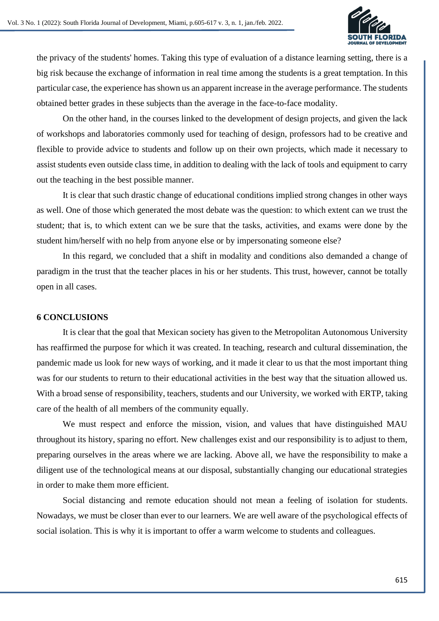

the privacy of the students' homes. Taking this type of evaluation of a distance learning setting, there is a big risk because the exchange of information in real time among the students is a great temptation. In this particular case, the experience has shown us an apparent increase in the average performance. The students obtained better grades in these subjects than the average in the face-to-face modality.

On the other hand, in the courses linked to the development of design projects, and given the lack of workshops and laboratories commonly used for teaching of design, professors had to be creative and flexible to provide advice to students and follow up on their own projects, which made it necessary to assist students even outside class time, in addition to dealing with the lack of tools and equipment to carry out the teaching in the best possible manner.

It is clear that such drastic change of educational conditions implied strong changes in other ways as well. One of those which generated the most debate was the question: to which extent can we trust the student; that is, to which extent can we be sure that the tasks, activities, and exams were done by the student him/herself with no help from anyone else or by impersonating someone else?

In this regard, we concluded that a shift in modality and conditions also demanded a change of paradigm in the trust that the teacher places in his or her students. This trust, however, cannot be totally open in all cases.

# **6 CONCLUSIONS**

It is clear that the goal that Mexican society has given to the Metropolitan Autonomous University has reaffirmed the purpose for which it was created. In teaching, research and cultural dissemination, the pandemic made us look for new ways of working, and it made it clear to us that the most important thing was for our students to return to their educational activities in the best way that the situation allowed us. With a broad sense of responsibility, teachers, students and our University, we worked with ERTP, taking care of the health of all members of the community equally.

We must respect and enforce the mission, vision, and values that have distinguished MAU throughout its history, sparing no effort. New challenges exist and our responsibility is to adjust to them, preparing ourselves in the areas where we are lacking. Above all, we have the responsibility to make a diligent use of the technological means at our disposal, substantially changing our educational strategies in order to make them more efficient.

Social distancing and remote education should not mean a feeling of isolation for students. Nowadays, we must be closer than ever to our learners. We are well aware of the psychological effects of social isolation. This is why it is important to offer a warm welcome to students and colleagues.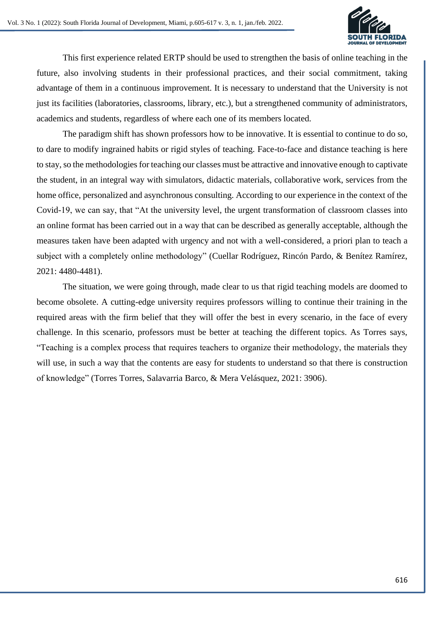

This first experience related ERTP should be used to strengthen the basis of online teaching in the future, also involving students in their professional practices, and their social commitment, taking advantage of them in a continuous improvement. It is necessary to understand that the University is not just its facilities (laboratories, classrooms, library, etc.), but a strengthened community of administrators, academics and students, regardless of where each one of its members located.

The paradigm shift has shown professors how to be innovative. It is essential to continue to do so, to dare to modify ingrained habits or rigid styles of teaching. Face-to-face and distance teaching is here to stay, so the methodologies for teaching our classes must be attractive and innovative enough to captivate the student, in an integral way with simulators, didactic materials, collaborative work, services from the home office, personalized and asynchronous consulting. According to our experience in the context of the Covid-19, we can say, that "At the university level, the urgent transformation of classroom classes into an online format has been carried out in a way that can be described as generally acceptable, although the measures taken have been adapted with urgency and not with a well-considered, a priori plan to teach a subject with a completely online methodology" (Cuellar Rodríguez, Rincón Pardo, & Benítez Ramírez, 2021: 4480-4481).

The situation, we were going through, made clear to us that rigid teaching models are doomed to become obsolete. A cutting-edge university requires professors willing to continue their training in the required areas with the firm belief that they will offer the best in every scenario, in the face of every challenge. In this scenario, professors must be better at teaching the different topics. As Torres says, "Teaching is a complex process that requires teachers to organize their methodology, the materials they will use, in such a way that the contents are easy for students to understand so that there is construction of knowledge" (Torres Torres, Salavarria Barco, & Mera Velásquez, 2021: 3906).